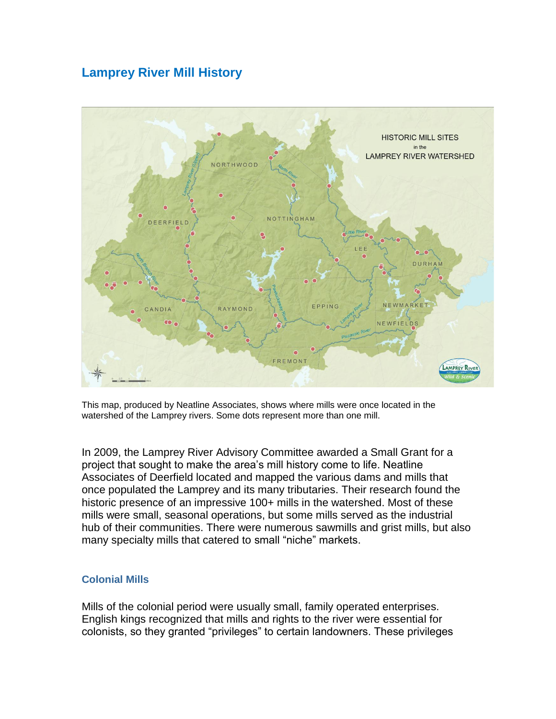# **Lamprey River Mill History**



This map, produced by Neatline Associates, shows where mills were once located in the watershed of the Lamprey rivers. Some dots represent more than one mill.

In 2009, the Lamprey River Advisory Committee awarded a Small Grant for a project that sought to make the area's mill history come to life. Neatline Associates of Deerfield located and mapped the various dams and mills that once populated the Lamprey and its many tributaries. Their research found the historic presence of an impressive 100+ mills in the watershed. Most of these mills were small, seasonal operations, but some mills served as the industrial hub of their communities. There were numerous sawmills and grist mills, but also many specialty mills that catered to small "niche" markets.

#### **Colonial Mills**

Mills of the colonial period were usually small, family operated enterprises. English kings recognized that mills and rights to the river were essential for colonists, so they granted "privileges" to certain landowners. These privileges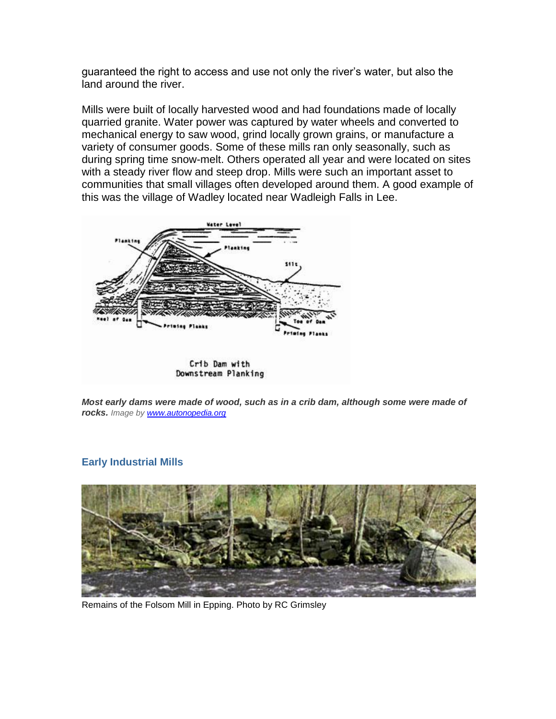guaranteed the right to access and use not only the river's water, but also the land around the river.

Mills were built of locally harvested wood and had foundations made of locally quarried granite. Water power was captured by water wheels and converted to mechanical energy to saw wood, grind locally grown grains, or manufacture a variety of consumer goods. Some of these mills ran only seasonally, such as during spring time snow-melt. Others operated all year and were located on sites with a steady river flow and steep drop. Mills were such an important asset to communities that small villages often developed around them. A good example of this was the village of Wadley located near Wadleigh Falls in Lee.



*Most early dams were made of wood, such as in a crib dam, although some were made of rocks. Image by [www.autonopedia.org](http://www.autonopedia.org/)*

## **Early Industrial Mills**



Remains of the Folsom Mill in Epping. Photo by RC Grimsley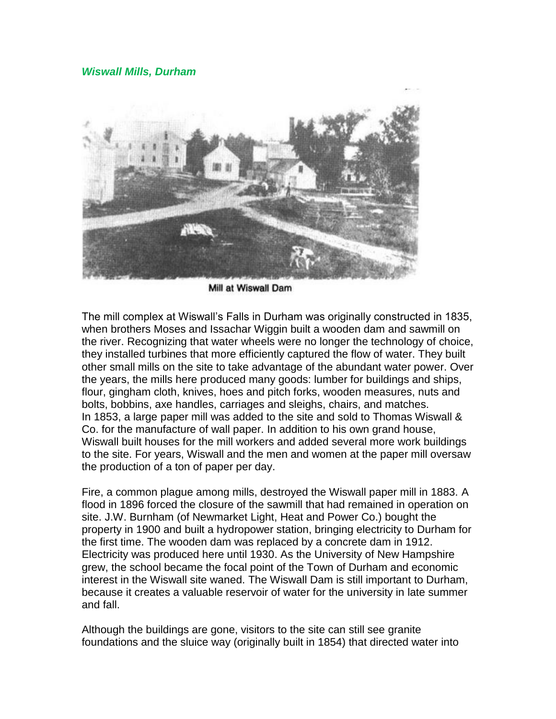#### *Wiswall Mills, Durham*



Mill at Wiswall Dam

The mill complex at Wiswall's Falls in Durham was originally constructed in 1835, when brothers Moses and Issachar Wiggin built a wooden dam and sawmill on the river. Recognizing that water wheels were no longer the technology of choice, they installed turbines that more efficiently captured the flow of water. They built other small mills on the site to take advantage of the abundant water power. Over the years, the mills here produced many goods: lumber for buildings and ships, flour, gingham cloth, knives, hoes and pitch forks, wooden measures, nuts and bolts, bobbins, axe handles, carriages and sleighs, chairs, and matches. In 1853, a large paper mill was added to the site and sold to Thomas Wiswall & Co. for the manufacture of wall paper. In addition to his own grand house, Wiswall built houses for the mill workers and added several more work buildings to the site. For years, Wiswall and the men and women at the paper mill oversaw the production of a ton of paper per day.

Fire, a common plague among mills, destroyed the Wiswall paper mill in 1883. A flood in 1896 forced the closure of the sawmill that had remained in operation on site. J.W. Burnham (of Newmarket Light, Heat and Power Co.) bought the property in 1900 and built a hydropower station, bringing electricity to Durham for the first time. The wooden dam was replaced by a concrete dam in 1912. Electricity was produced here until 1930. As the University of New Hampshire grew, the school became the focal point of the Town of Durham and economic interest in the Wiswall site waned. The Wiswall Dam is still important to Durham, because it creates a valuable reservoir of water for the university in late summer and fall.

Although the buildings are gone, visitors to the site can still see granite foundations and the sluice way (originally built in 1854) that directed water into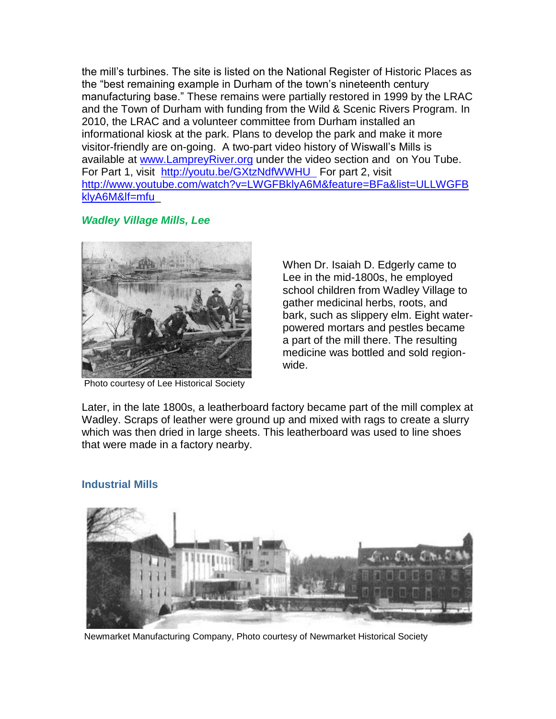the mill's turbines. The site is listed on the National Register of Historic Places as the "best remaining example in Durham of the town's nineteenth century manufacturing base." These remains were partially restored in 1999 by the LRAC and the Town of Durham with funding from the Wild & Scenic Rivers Program. In 2010, the LRAC and a volunteer committee from Durham installed an informational kiosk at the park. Plans to develop the park and make it more visitor-friendly are on-going. A two-part video history of Wiswall's Mills is available at [www.LampreyRiver.org](http://www.lampreyriver.org/) under the video section and on You Tube. For Part 1, visit <http://youtu.be/GXtzNdfWWHU>For part 2, visit [http://www.youtube.com/watch?v=LWGFBklyA6M&feature=BFa&list=ULLWGFB](http://www.youtube.com/watch?v=LWGFBklyA6M&feature=BFa&list=ULLWGFBklyA6M&lf=mfu) [klyA6M&lf=mfu\\_](http://www.youtube.com/watch?v=LWGFBklyA6M&feature=BFa&list=ULLWGFBklyA6M&lf=mfu)

# *Wadley Village Mills, Lee*



Photo courtesy of Lee Historical Society

When Dr. Isaiah D. Edgerly came to Lee in the mid-1800s, he employed school children from Wadley Village to gather medicinal herbs, roots, and bark, such as slippery elm. Eight waterpowered mortars and pestles became a part of the mill there. The resulting medicine was bottled and sold regionwide.

Later, in the late 1800s, a leatherboard factory became part of the mill complex at Wadley. Scraps of leather were ground up and mixed with rags to create a slurry which was then dried in large sheets. This leatherboard was used to line shoes that were made in a factory nearby.



## **Industrial Mills**

Newmarket Manufacturing Company, Photo courtesy of Newmarket Historical Society